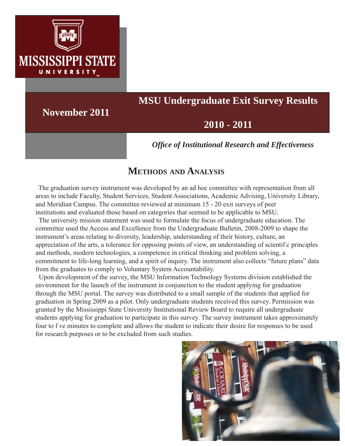

# **MSU Undergraduate Exit Survey Results**

**November 2011**

## **2010 - 2011**

*Offi ce of Institutional Research and Effectiveness*

## **METHODS AND ANALYSIS**

 The graduation survey instrument was developed by an ad hoc committee with representation from all areas to include Faculty, Student Services, Student Associations, Academic Advising, University Library, and Meridian Campus. The committee reviewed at minimum 15 - 20 exit surveys of peer institutions and evaluated those based on categories that seemed to be applicable to MSU.

 The university mission statement was used to formulate the focus of undergraduate education. The committee used the Access and Excellence from the Undergraduate Bulletin, 2008-2009 to shape the instrument's areas relating to diversity, leadership, understanding of their history, culture, an appreciation of the arts, a tolerance for opposing points of view, an understanding of scientif c principles and methods, modern technologies, a competence in critical thinking and problem solving, a commitment to life-long learning, and a spirit of inquiry. The instrument also collects "future plans" data from the graduates to comply to Voluntary System Accountability.

 Upon development of the survey, the MSU Information Technology Systems division established the environment for the launch of the instrument in conjunction to the student applying for graduation through the MSU portal. The survey was distributed to a small sample of the students that applied for graduation in Spring 2009 as a pilot. Only undergraduate students received this survey. Permission was granted by the Mississippi State University Institutional Review Board to require all undergraduate students applying for graduation to participate in this survey. The survey instrument takes approximately four to f ve minutes to complete and allows the student to indicate their desire for responses to be used for research purposes or to be excluded from such studies.

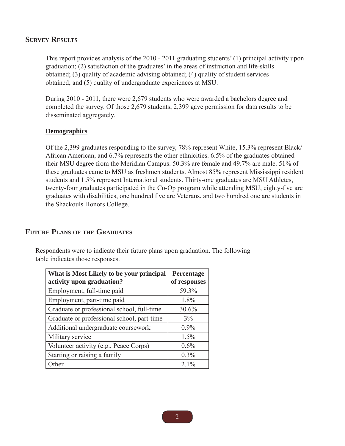#### **SURVEY RESULTS**

This report provides analysis of the 2010 - 2011 graduating students' (1) principal activity upon graduation; (2) satisfaction of the graduates' in the areas of instruction and life-skills obtained; (3) quality of academic advising obtained; (4) quality of student services obtained; and (5) quality of undergraduate experiences at MSU.

During 2010 - 2011, there were 2,679 students who were awarded a bachelors degree and completed the survey. Of those 2,679 students, 2,399 gave permission for data results to be disseminated aggregately.

#### **Demographics**

Of the 2,399 graduates responding to the survey, 78% represent White, 15.3% represent Black/ African American, and 6.7% represents the other ethnicities. 6.5% of the graduates obtained their MSU degree from the Meridian Campus. 50.3% are female and 49.7% are male. 51% of these graduates came to MSU as freshmen students. Almost 85% represent Mississippi resident students and 1.5% represent International students. Thirty-one graduates are MSU Athletes, twenty-four graduates participated in the Co-Op program while attending MSU, eighty-f ve are graduates with disabilities, one hundred f ve are Veterans, and two hundred one are students in the Shackouls Honors College.

#### **FUTURE PLANS OF THE GRADUATES**

Respondents were to indicate their future plans upon graduation. The following table indicates those responses.

| What is Most Likely to be your principal<br>activity upon graduation? | Percentage<br>of responses |
|-----------------------------------------------------------------------|----------------------------|
| Employment, full-time paid                                            | 59.3%                      |
| Employment, part-time paid                                            | 1.8%                       |
| Graduate or professional school, full-time                            | 30.6%                      |
| Graduate or professional school, part-time                            | $3\%$                      |
| Additional undergraduate coursework                                   | $0.9\%$                    |
| Military service                                                      | 1.5%                       |
| Volunteer activity (e.g., Peace Corps)                                | 0.6%                       |
| Starting or raising a family                                          | $0.3\%$                    |
| Other                                                                 | $2.1\%$                    |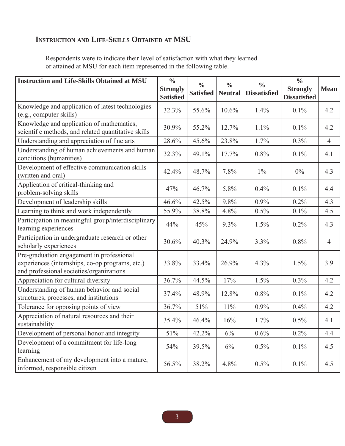## **INSTRUCTION AND LIFE-SKILLS OBTAINED AT MSU**

Respondents were to indicate their level of satisfaction with what they learned or attained at MSU for each item represented in the following table.

| <b>Instruction and Life-Skills Obtained at MSU</b>                                                                                       | $\frac{0}{0}$<br><b>Strongly</b><br><b>Satisfied</b> | $\frac{0}{0}$<br><b>Satisfied</b> | $\frac{0}{0}$<br><b>Neutral</b> | $\frac{0}{0}$<br><b>Dissatisfied</b> | $\frac{0}{0}$<br><b>Strongly</b><br><b>Dissatisfied</b> | <b>Mean</b>    |
|------------------------------------------------------------------------------------------------------------------------------------------|------------------------------------------------------|-----------------------------------|---------------------------------|--------------------------------------|---------------------------------------------------------|----------------|
| Knowledge and application of latest technologies<br>(e.g., computer skills)                                                              | 32.3%                                                | 55.6%                             | 10.6%                           | 1.4%                                 | 0.1%                                                    | 4.2            |
| Knowledge and application of mathematics,<br>scientif c methods, and related quantitative skills                                         | 30.9%                                                | 55.2%                             | 12.7%                           | 1.1%                                 | 0.1%                                                    | 4.2            |
| Understanding and appreciation of fne arts                                                                                               | 28.6%                                                | 45.6%                             | 23.8%                           | 1.7%                                 | 0.3%                                                    | $\overline{4}$ |
| Understanding of human achievements and human<br>conditions (humanities)                                                                 | 32.3%                                                | 49.1%                             | 17.7%                           | 0.8%                                 | 0.1%                                                    | 4.1            |
| Development of effective communication skills<br>(written and oral)                                                                      | 42.4%                                                | 48.7%                             | 7.8%                            | $1\%$                                | 0%                                                      | 4.3            |
| Application of critical-thinking and<br>problem-solving skills                                                                           | 47%                                                  | 46.7%                             | 5.8%                            | 0.4%                                 | 0.1%                                                    | 4.4            |
| Development of leadership skills                                                                                                         | 46.6%                                                | 42.5%                             | 9.8%                            | 0.9%                                 | 0.2%                                                    | 4.3            |
| Learning to think and work independently                                                                                                 | 55.9%                                                | 38.8%                             | 4.8%                            | 0.5%                                 | 0.1%                                                    | 4.5            |
| Participation in meaningful group/interdisciplinary<br>learning experiences                                                              | 44%                                                  | 45%                               | 9.3%                            | 1.5%                                 | 0.2%                                                    | 4.3            |
| Participation in undergraduate research or other<br>scholarly experiences                                                                | 30.6%                                                | 40.3%                             | 24.9%                           | 3.3%                                 | 0.8%                                                    | $\overline{4}$ |
| Pre-graduation engagement in professional<br>experiences (internships, co-op programs, etc.)<br>and professional societies/organizations | 33.8%                                                | 33.4%                             | 26.9%                           | 4.3%                                 | 1.5%                                                    | 3.9            |
| Appreciation for cultural diversity                                                                                                      | 36.7%                                                | 44.5%                             | 17%                             | 1.5%                                 | 0.3%                                                    | 4.2            |
| Understanding of human behavior and social<br>structures, processes, and institutions                                                    | 37.4%                                                | 48.9%                             | 12.8%                           | 0.8%                                 | 0.1%                                                    | 4.2            |
| Tolerance for opposing points of view                                                                                                    | 36.7%                                                | 51%                               | $11\%$                          | 0.9%                                 | 0.4%                                                    | 4.2            |
| Appreciation of natural resources and their<br>sustainability                                                                            | 35.4%                                                | 46.4%                             | 16%                             | 1.7%                                 | 0.5%                                                    | 4.1            |
| Development of personal honor and integrity                                                                                              | 51%                                                  | 42.2%                             | $6\%$                           | 0.6%                                 | 0.2%                                                    | 4.4            |
| Development of a commitment for life-long<br>learning                                                                                    | 54%                                                  | 39.5%                             | 6%                              | 0.5%                                 | 0.1%                                                    | 4.5            |
| Enhancement of my development into a mature,<br>informed, responsible citizen                                                            | 56.5%                                                | 38.2%                             | 4.8%                            | 0.5%                                 | 0.1%                                                    | 4.5            |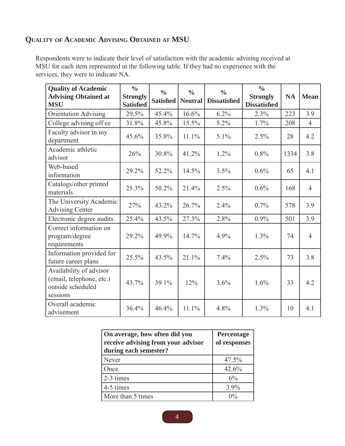## **QUALITY OF ACADEMIC ADVISING OBTAINED AT MSU**

Respondents were to indicate their level of satisfaction with the academic advising received at MSU for each item represented in the following table. If they had no experience with the services, they were to indicate NA.

| <b>Quality of Academic</b><br><b>Advising Obtained at</b><br><b>MSU</b>              | $\frac{0}{0}$<br><b>Strongly</b><br><b>Satisfied</b> | $\frac{0}{0}$<br><b>Satisfied</b> | $\frac{0}{0}$<br><b>Neutral</b> | $\frac{0}{0}$<br><b>Dissatisfied</b> | $\frac{0}{0}$<br><b>Strongly</b><br><b>Dissatisfied</b> | <b>NA</b> | <b>Mean</b>    |
|--------------------------------------------------------------------------------------|------------------------------------------------------|-----------------------------------|---------------------------------|--------------------------------------|---------------------------------------------------------|-----------|----------------|
| <b>Orientation Advising</b>                                                          | 29.5%                                                | 45.4%                             | 16.6%                           | 6.2%                                 | 2.3%                                                    | 223       | 3.9            |
| College advising off ce                                                              | 31.8%                                                | 45.8%                             | 15.5%                           | 5.2%                                 | 1.7%                                                    | 208       | $\overline{4}$ |
| Faculty advisor in my<br>department                                                  | 45.6%                                                | 35.8%                             | 11.1%                           | 5.1%                                 | 2.5%                                                    | 28        | 4.2            |
| Academic athletic<br>advisor                                                         | 26%                                                  | 30.8%                             | 41.2%                           | 1.2%                                 | 0.8%                                                    | 1334      | 3.8            |
| Web-based<br>information                                                             | 29.2%                                                | 52.2%                             | 14.5%                           | 3.5%                                 | 0.6%                                                    | 65        | 4.1            |
| Catalogs/other printed<br>materials                                                  | 25.3%                                                | 50.2%                             | 21.4%                           | 2.5%                                 | 0.6%                                                    | 168       | $\overline{4}$ |
| The University Academic<br><b>Advising Center</b>                                    | 27%                                                  | 43.2%                             | 26.7%                           | 2.4%                                 | 0.7%                                                    | 578       | 3.9            |
| Electronic degree audits                                                             | 25.4%                                                | 43.5%                             | 27.3%                           | 2.8%                                 | 0.9%                                                    | 501       | 3.9            |
| Correct information on<br>program/degree<br>requirements                             | 29.2%                                                | 49.9%                             | 14.7%                           | 4.9%                                 | 1.3%                                                    | 74        | $\overline{4}$ |
| Information provided for<br>future career plans                                      | 25.5%                                                | 43.5%                             | 21.1%                           | 7.4%                                 | 2.5%                                                    | 73        | 3.8            |
| Availability of advisor<br>(email, telephone, etc.)<br>outside scheduled<br>sessions | 43.7%                                                | 39.1%                             | 12%                             | 3.6%                                 | 1.6%                                                    | 33        | 4.2            |
| Overall academic<br>advisement                                                       | 36.4%                                                | 46.4%                             | 11.1%                           | 4.8%                                 | 1.3%                                                    | 10        | 4.1            |

| On average, how often did you<br>receive advising from your advisor<br>during each semester? | Percentage<br>of responses |
|----------------------------------------------------------------------------------------------|----------------------------|
| Never                                                                                        | 47.5%                      |
| Once                                                                                         | 42.6%                      |
| 2-3 times                                                                                    | 6%                         |
| 4-5 times                                                                                    | 3.9%                       |
| More than 5 times                                                                            | $0\%$                      |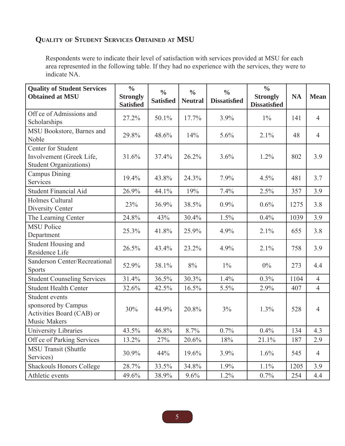## **QUALITY OF STUDENT SERVICES OBTAINED AT MSU**

Respondents were to indicate their level of satisfaction with services provided at MSU for each area represented in the following table. If they had no experience with the services, they were to indicate NA.

| <b>Quality of Student Services</b><br><b>Obtained at MSU</b>                                     | $\frac{0}{0}$<br><b>Strongly</b><br><b>Satisfied</b> | $\frac{0}{0}$<br><b>Satisfied</b> | $\frac{0}{0}$<br><b>Neutral</b> | $\frac{0}{0}$<br><b>Dissatisfied</b> | $\frac{0}{0}$<br><b>Strongly</b><br><b>Dissatisfied</b> | <b>NA</b> | <b>Mean</b>    |
|--------------------------------------------------------------------------------------------------|------------------------------------------------------|-----------------------------------|---------------------------------|--------------------------------------|---------------------------------------------------------|-----------|----------------|
| Off ce of Admissions and<br>Scholarships                                                         | 27.2%                                                | 50.1%                             | 17.7%                           | 3.9%                                 | $1\%$                                                   | 141       | $\overline{4}$ |
| MSU Bookstore, Barnes and<br>Noble                                                               | 29.8%                                                | 48.6%                             | 14%                             | 5.6%                                 | 2.1%                                                    | 48        | $\overline{4}$ |
| Center for Student<br>Involvement (Greek Life,<br><b>Student Organizations)</b>                  | 31.6%                                                | 37.4%                             | 26.2%                           | 3.6%                                 | 1.2%                                                    | 802       | 3.9            |
| <b>Campus Dining</b><br>Services                                                                 | 19.4%                                                | 43.8%                             | 24.3%                           | 7.9%                                 | 4.5%                                                    | 481       | 3.7            |
| <b>Student Financial Aid</b>                                                                     | 26.9%                                                | 44.1%                             | 19%                             | 7.4%                                 | 2.5%                                                    | 357       | 3.9            |
| Holmes Cultural<br>Diversity Center                                                              | 23%                                                  | 36.9%                             | 38.5%                           | 0.9%                                 | 0.6%                                                    | 1275      | 3.8            |
| The Learning Center                                                                              | 24.8%                                                | 43%                               | 30.4%                           | 1.5%                                 | 0.4%                                                    | 1039      | 3.9            |
| <b>MSU Police</b><br>Department                                                                  | 25.3%                                                | 41.8%                             | 25.9%                           | 4.9%                                 | 2.1%                                                    | 655       | 3.8            |
| Student Housing and<br>Residence Life                                                            | 26.5%                                                | 43.4%                             | 23.2%                           | 4.9%                                 | 2.1%                                                    | 758       | 3.9            |
| Sanderson Center/Recreational<br><b>Sports</b>                                                   | 52.9%                                                | 38.1%                             | 8%                              | $1\%$                                | $0\%$                                                   | 273       | 4.4            |
| <b>Student Counseling Services</b>                                                               | 31.4%                                                | 36.5%                             | 30.3%                           | 1.4%                                 | 0.3%                                                    | 1104      | $\overline{4}$ |
| <b>Student Health Center</b>                                                                     | 32.6%                                                | 42.5%                             | 16.5%                           | 5.5%                                 | 2.9%                                                    | 407       | $\overline{4}$ |
| <b>Student events</b><br>sponsored by Campus<br>Activities Board (CAB) or<br><b>Music Makers</b> | 30%                                                  | 44.9%                             | 20.8%                           | 3%                                   | 1.3%                                                    | 528       | $\overline{4}$ |
| University Libraries                                                                             | 43.5%                                                | 46.8%                             | 8.7%                            | 0.7%                                 | 0.4%                                                    | 134       | 4.3            |
| Off ce of Parking Services                                                                       | 13.2%                                                | 27%                               | 20.6%                           | 18%                                  | 21.1%                                                   | 187       | 2.9            |
| <b>MSU Transit (Shuttle</b><br>Services)                                                         | 30.9%                                                | 44%                               | 19.6%                           | 3.9%                                 | 1.6%                                                    | 545       | $\overline{4}$ |
| <b>Shackouls Honors College</b>                                                                  | 28.7%                                                | 33.5%                             | 34.8%                           | 1.9%                                 | 1.1%                                                    | 1205      | 3.9            |
| Athletic events                                                                                  | 49.6%                                                | 38.9%                             | 9.6%                            | 1.2%                                 | 0.7%                                                    | 254       | 4.4            |